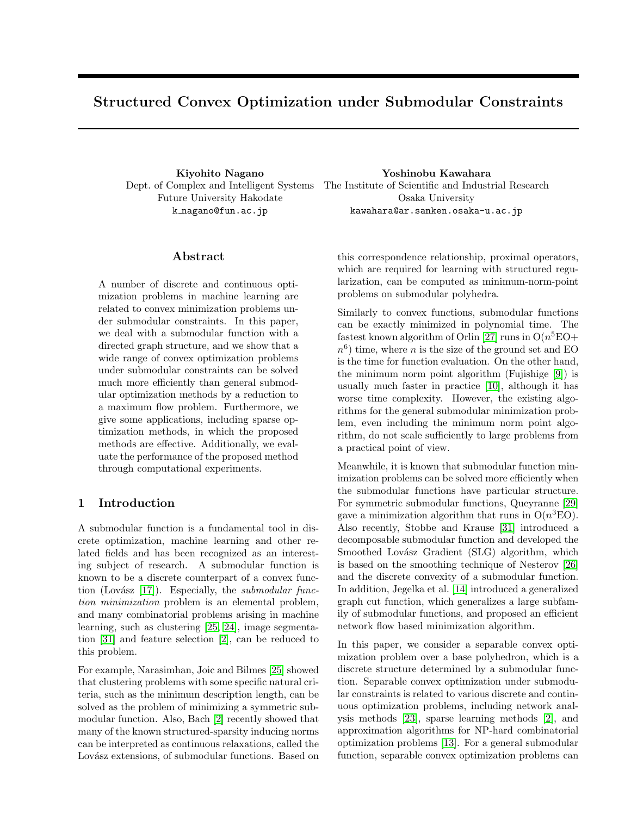# **Structured Convex Optimization under Submodular Constraints**

**Kiyohito Nagano** Future University Hakodate k nagano@fun.ac.jp

Dept. of Complex and Intelligent Systems The Institute of Scientific and Industrial Research **Yoshinobu Kawahara** Osaka University kawahara@ar.sanken.osaka-u.ac.jp

## **Abstract**

A number of discrete and continuous optimization problems in machine learning are related to convex minimization problems under submodular constraints. In this paper, we deal with a submodular function with a directed graph structure, and we show that a wide range of convex optimization problems under submodular constraints can be solved much more efficiently than general submodular optimization methods by a reduction to a maximum flow problem. Furthermore, we give some applications, including sparse optimization methods, in which the proposed methods are effective. Additionally, we evaluate the performance of the proposed method through computational experiments.

## **1 Introduction**

A submodular function is a fundamental tool in discrete optimization, machine learning and other related fields and has been recognized as an interesting subject of research. A submodular function is known to be a discrete counterpart of a convex func-tion (Lovász [\[17\]](#page-9-0)). Especially, the *submodular function minimization* problem is an elemental problem, and many combinatorial problems arising in machine learning, such as clustering [\[25,](#page-9-1) [24\]](#page-9-2), image segmentation [\[31\]](#page-9-3) and feature selection [\[2\]](#page-8-0), can be reduced to this problem.

For example, Narasimhan, Joic and Bilmes [\[25\]](#page-9-1) showed that clustering problems with some specific natural criteria, such as the minimum description length, can be solved as the problem of minimizing a symmetric submodular function. Also, Bach [\[2\]](#page-8-0) recently showed that many of the known structured-sparsity inducing norms can be interpreted as continuous relaxations, called the Lovász extensions, of submodular functions. Based on

this correspondence relationship, proximal operators, which are required for learning with structured regularization, can be computed as minimum-norm-point problems on submodular polyhedra.

Similarly to convex functions, submodular functions can be exactly minimized in polynomial time. The fastest known algorithm of Orlin [\[27\]](#page-9-4) runs in  $O(n^5EO+$  $n<sup>6</sup>$ ) time, where *n* is the size of the ground set and EO is the time for function evaluation. On the other hand, the minimum norm point algorithm (Fujishige [\[9\]](#page-9-5)) is usually much faster in practice [\[10\]](#page-9-6), although it has worse time complexity. However, the existing algorithms for the general submodular minimization problem, even including the minimum norm point algorithm, do not scale sufficiently to large problems from a practical point of view.

Meanwhile, it is known that submodular function minimization problems can be solved more efficiently when the submodular functions have particular structure. For symmetric submodular functions, Queyranne [\[29\]](#page-9-7) gave a minimization algorithm that runs in  $O(n^3EO)$ . Also recently, Stobbe and Krause [\[31\]](#page-9-3) introduced a decomposable submodular function and developed the Smoothed Lovász Gradient (SLG) algorithm, which is based on the smoothing technique of Nesterov [\[26\]](#page-9-8) and the discrete convexity of a submodular function. In addition, Jegelka et al. [\[14\]](#page-9-9) introduced a generalized graph cut function, which generalizes a large subfamily of submodular functions, and proposed an efficient network flow based minimization algorithm.

In this paper, we consider a separable convex optimization problem over a base polyhedron, which is a discrete structure determined by a submodular function. Separable convex optimization under submodular constraints is related to various discrete and continuous optimization problems, including network analysis methods [\[23\]](#page-9-10), sparse learning methods [\[2\]](#page-8-0), and approximation algorithms for NP-hard combinatorial optimization problems [\[13\]](#page-9-11). For a general submodular function, separable convex optimization problems can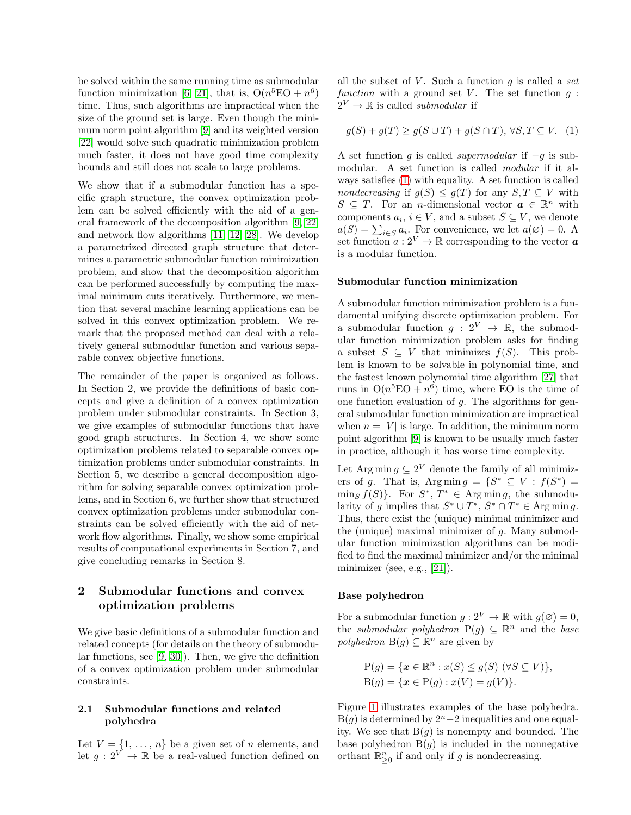be solved within the same running time as submodular function minimization [\[6,](#page-8-1) [21\]](#page-9-12), that is,  $O(n^5EO + n^6)$ time. Thus, such algorithms are impractical when the size of the ground set is large. Even though the minimum norm point algorithm [\[9\]](#page-9-5) and its weighted version [\[22\]](#page-9-13) would solve such quadratic minimization problem much faster, it does not have good time complexity bounds and still does not scale to large problems.

We show that if a submodular function has a specific graph structure, the convex optimization problem can be solved efficiently with the aid of a general framework of the decomposition algorithm [\[9,](#page-9-5) [22\]](#page-9-13) and network flow algorithms [\[11,](#page-9-14) [12,](#page-9-15) [28\]](#page-9-16). We develop a parametrized directed graph structure that determines a parametric submodular function minimization problem, and show that the decomposition algorithm can be performed successfully by computing the maximal minimum cuts iteratively. Furthermore, we mention that several machine learning applications can be solved in this convex optimization problem. We remark that the proposed method can deal with a relatively general submodular function and various separable convex objective functions.

The remainder of the paper is organized as follows. In Section 2, we provide the definitions of basic concepts and give a definition of a convex optimization problem under submodular constraints. In Section 3, we give examples of submodular functions that have good graph structures. In Section 4, we show some optimization problems related to separable convex optimization problems under submodular constraints. In Section 5, we describe a general decomposition algorithm for solving separable convex optimization problems, and in Section 6, we further show that structured convex optimization problems under submodular constraints can be solved efficiently with the aid of network flow algorithms. Finally, we show some empirical results of computational experiments in Section 7, and give concluding remarks in Section 8.

## **2 Submodular functions and convex optimization problems**

We give basic definitions of a submodular function and related concepts (for details on the theory of submodular functions, see [\[9,](#page-9-5) [30\]](#page-9-17)). Then, we give the definition of a convex optimization problem under submodular constraints.

## **2.1 Submodular functions and related polyhedra**

Let  $V = \{1, \ldots, n\}$  be a given set of n elements, and let  $g: 2^V \to \mathbb{R}$  be a real-valued function defined on

all the subset of  $V$ . Such a function  $q$  is called a *set function* with a ground set V. The set function  $q$ :  $2^V \rightarrow \mathbb{R}$  is called *submodular* if

<span id="page-1-0"></span>
$$
g(S) + g(T) \ge g(S \cup T) + g(S \cap T), \forall S, T \subseteq V. \tag{1}
$$

A set function g is called *supermodular* if −g is submodular. A set function is called *modular* if it always satisfies [\(1\)](#page-1-0) with equality. A set function is called *nondecreasing* if  $g(S) \leq g(T)$  for any  $S, T \subseteq V$  with  $S \subseteq T$ . For an *n*-dimensional vector  $a \in \mathbb{R}^n$  with components  $a_i, i \in V$ , and a subset  $S \subseteq V$ , we denote  $a(S) = \sum_{i \in S} a_i$ . For convenience, we let  $a(\emptyset) = 0$ . A set function  $a: 2^V \to \mathbb{R}$  corresponding to the vector **a** is a modular function.

#### **Submodular function minimization**

A submodular function minimization problem is a fundamental unifying discrete optimization problem. For a submodular function  $g: 2^V \rightarrow \mathbb{R}$ , the submodular function minimization problem asks for finding a subset  $S \subseteq V$  that minimizes  $f(S)$ . This problem is known to be solvable in polynomial time, and the fastest known polynomial time algorithm [\[27\]](#page-9-4) that runs in  $O(n^5EO + n^6)$  time, where EO is the time of one function evaluation of  $g$ . The algorithms for general submodular function minimization are impractical when  $n = |V|$  is large. In addition, the minimum norm point algorithm [\[9\]](#page-9-5) is known to be usually much faster in practice, although it has worse time complexity.

Let Arg min  $g \n\subseteq 2^V$  denote the family of all minimizers of g. That is, Arg min  $g = \{S^* \subseteq V : f(S^*) =$ min<sub>S</sub>  $f(S)$ . For  $S^*$ ,  $T^* \in \text{Arg min } q$ , the submodularity of g implies that  $S^* \cup T^*$ ,  $S^* \cap T^* \in \text{Arg} \min g$ . Thus, there exist the (unique) minimal minimizer and the (unique) maximal minimizer of  $g$ . Many submodular function minimization algorithms can be modified to find the maximal minimizer and/or the minimal minimizer (see, e.g.,  $[21]$ ).

## **Base polyhedron**

For a submodular function  $g: 2^V \to \mathbb{R}$  with  $g(\emptyset) = 0$ , the *submodular polyhedron*  $P(q) \subseteq \mathbb{R}^n$  and the *base polyhedron*  $B(g) \subseteq \mathbb{R}^n$  are given by

$$
P(g) = \{ \mathbf{x} \in \mathbb{R}^n : x(S) \le g(S) \ (\forall S \subseteq V) \},
$$
  
 
$$
B(g) = \{ \mathbf{x} \in P(g) : x(V) = g(V) \}.
$$

Figure [1](#page-2-0) illustrates examples of the base polyhedra.  $B(q)$  is determined by  $2<sup>n</sup> - 2$  inequalities and one equality. We see that  $B(q)$  is nonempty and bounded. The base polyhedron  $B(g)$  is included in the nonnegative orthant  $\mathbb{R}_{\geq 0}^n$  if and only if g is nondecreasing.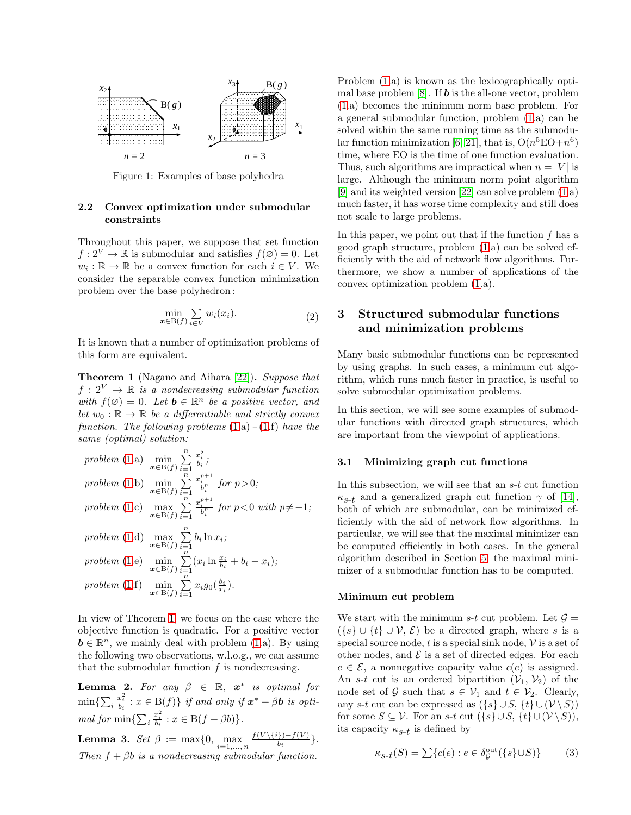

<span id="page-2-0"></span>Figure 1: Examples of base polyhedra

## **2.2 Convex optimization under submodular constraints**

Throughout this paper, we suppose that set function  $f: 2^V \to \mathbb{R}$  is submodular and satisfies  $f(\emptyset) = 0$ . Let  $w_i : \mathbb{R} \to \mathbb{R}$  be a convex function for each  $i \in V$ . We consider the separable convex function minimization problem over the base polyhedron :

$$
\min_{\boldsymbol{x} \in \mathcal{B}(f)} \sum_{i \in V} w_i(x_i). \tag{2}
$$

It is known that a number of optimization problems of this form are equivalent.

<span id="page-2-1"></span>**Theorem 1** (Nagano and Aihara [\[22\]](#page-9-13))**.** *Suppose that*  $f: 2^V \to \mathbb{R}$  *is a nondecreasing submodular function with*  $f(\emptyset) = 0$ *. Let*  $\mathbf{b} \in \mathbb{R}^n$  *be a positive vector, and let*  $w_0 : \mathbb{R} \to \mathbb{R}$  *be a differentiable and strictly convex function. The following problems* [\(1.](#page-2-1)a) *–* [\(1.](#page-2-1)f) *have the same (optimal) solution:*

problem (1.a) 
$$
\min_{\mathbf{x} \in B(f)} \sum_{i=1}^{n} \frac{x_i^2}{b_i}
$$
;  
\nproblem (1.b)  $\min_{\mathbf{x} \in B(f)} \sum_{i=1}^{n} \frac{x_i^{p+1}}{b_i^p}$  for  $p > 0$ ;  
\nproblem (1.c)  $\max_{\mathbf{x} \in B(f)} \sum_{i=1}^{n} \frac{x_i^{p+1}}{b_i^p}$  for  $p < 0$  with  $p \neq -1$ ;  
\nproblem (1.d)  $\max_{\mathbf{x} \in B(f)} \sum_{i=1}^{n} b_i \ln x_i$ ;  
\nproblem (1.e)  $\min_{\mathbf{x} \in B(f)} \sum_{i=1}^{n} (x_i \ln \frac{x_i}{b_i} + b_i - x_i)$ ;  
\nproblem (1.f)  $\min_{\mathbf{x} \in B(f)} \sum_{i=1}^{n} x_i g_0(\frac{b_i}{x_i})$ .

In view of Theorem [1,](#page-2-1) we focus on the case where the objective function is quadratic. For a positive vector  $\mathbf{b} \in \mathbb{R}^n$ , we mainly deal with problem [\(1.](#page-2-1)a). By using the following two observations, w.l.o.g., we can assume that the submodular function  $f$  is nondecreasing.

<span id="page-2-6"></span>**Lemma 2.** For any  $\beta \in \mathbb{R}$ ,  $x^*$  *is optimal for*  $\min\{\sum_i \frac{x_i^2}{b_i} : x \in B(f)\}\$ if and only if  $\mathbf{x}^* + \beta \mathbf{b}$  is opti*mal for*  $\min\{\sum_i \frac{x_i^2}{b_i} : x \in B(f + \beta b)\}.$ 

<span id="page-2-7"></span>**Lemma 3.** *Set*  $\beta := \max\{0, \max\}$  $i=1,\ldots,n$ <br> $\alpha$  explants  $\frac{f(V \setminus \{i\}) - f(V)}{b_i}$ . *Then* f + βb *is a nondecreasing submodular function.*

Problem [\(1.](#page-2-1)a) is known as the lexicographically optimal base problem  $[8]$ . If *b* is the all-one vector, problem [\(1.](#page-2-1)a) becomes the minimum norm base problem. For a general submodular function, problem [\(1.](#page-2-1)a) can be solved within the same running time as the submodu-lar function minimization [\[6,](#page-8-1) [21\]](#page-9-12), that is,  $O(n^5EO+n^6)$ time, where EO is the time of one function evaluation. Thus, such algorithms are impractical when  $n = |V|$  is large. Although the minimum norm point algorithm [\[9\]](#page-9-5) and its weighted version [\[22\]](#page-9-13) can solve problem [\(1.](#page-2-1)a) much faster, it has worse time complexity and still does not scale to large problems.

In this paper, we point out that if the function  $f$  has a good graph structure, problem [\(1.](#page-2-1)a) can be solved efficiently with the aid of network flow algorithms. Furthermore, we show a number of applications of the convex optimization problem [\(1.](#page-2-1)a).

## <span id="page-2-5"></span><span id="page-2-4"></span>**3 Structured submodular functions and minimization problems**

Many basic submodular functions can be represented by using graphs. In such cases, a minimum cut algorithm, which runs much faster in practice, is useful to solve submodular optimization problems.

In this section, we will see some examples of submodular functions with directed graph structures, which are important from the viewpoint of applications.

#### <span id="page-2-3"></span>**3.1 Minimizing graph cut functions**

In this subsection, we will see that an s-t cut function  $\kappa_{s-t}$  and a generalized graph cut function  $\gamma$  of [\[14\]](#page-9-9), both of which are submodular, can be minimized efficiently with the aid of network flow algorithms. In particular, we will see that the maximal minimizer can be computed efficiently in both cases. In the general algorithm described in Section [5,](#page-5-0) the maximal minimizer of a submodular function has to be computed.

#### **Minimum cut problem**

We start with the minimum s-t cut problem. Let  $\mathcal{G} =$  $({s} \cup {t} \cup \mathcal{V}, \mathcal{E})$  be a directed graph, where s is a special source node, t is a special sink node,  $\nu$  is a set of other nodes, and  $\mathcal E$  is a set of directed edges. For each  $e \in \mathcal{E}$ , a nonnegative capacity value  $c(e)$  is assigned. An s-t cut is an ordered bipartition  $(\mathcal{V}_1, \mathcal{V}_2)$  of the node set of G such that  $s \in V_1$  and  $t \in V_2$ . Clearly, any s-t cut can be expressed as  $({s} \cup S, {t} \cup (V \setminus S))$ for some  $S \subseteq V$ . For an s-t cut  $({s} \cup S, {t} \cup (V \setminus S)),$ its capacity  $\kappa_{s-t}$  is defined by

<span id="page-2-2"></span>
$$
\kappa_{\mathcal{S}\text{-}t}(S) = \sum \{c(e) : e \in \delta^{\text{out}}_{\mathcal{G}}(\{s\} \cup S)\}\tag{3}
$$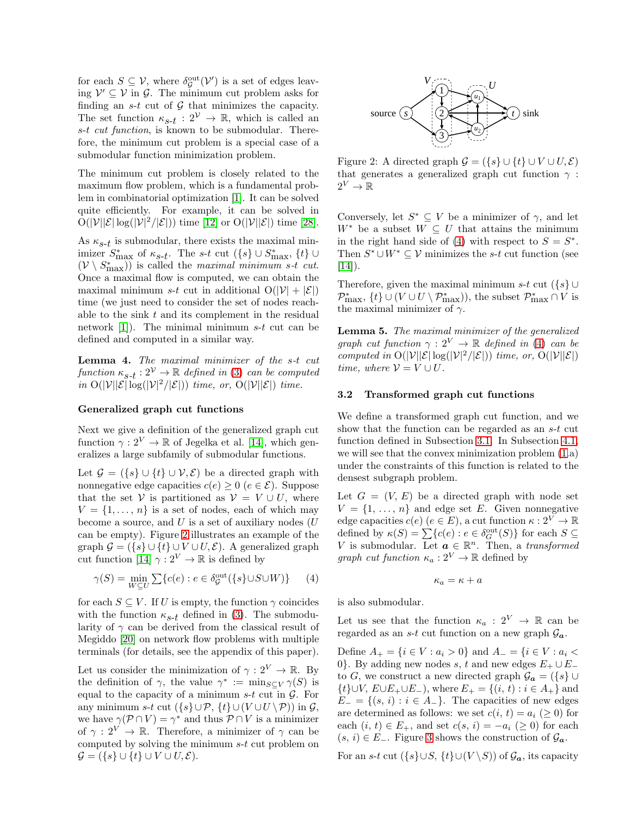for each  $S \subseteq V$ , where  $\delta_{\mathcal{G}}^{\text{out}}(\mathcal{V}')$  is a set of edges leaving  $V' \subseteq V$  in G. The minimum cut problem asks for finding an  $s-t$  cut of  $\mathcal G$  that minimizes the capacity. The set function  $\kappa_{s-t} : 2^{\mathcal{V}} \to \mathbb{R}$ , which is called an s-t *cut function*, is known to be submodular. Therefore, the minimum cut problem is a special case of a submodular function minimization problem.

The minimum cut problem is closely related to the maximum flow problem, which is a fundamental problem in combinatorial optimization [\[1\]](#page-8-2). It can be solved quite efficiently. For example, it can be solved in  $O(|\mathcal{V}||\mathcal{E}|\log(|\mathcal{V}|^2/|\mathcal{E}|))$  time [\[12\]](#page-9-15) or  $O(|\mathcal{V}||\mathcal{E}|)$  time [\[28\]](#page-9-16).

As  $\kappa_{\mathcal{S}\text{-}\mathcal{t}}$  is submodular, there exists the maximal minimizer  $S_{\text{max}}^*$  of  $\kappa_{s-t}$ . The s-t cut  $({s} \cup S_{\text{max}}^*, \{t\} \cup$  $(V \setminus S_{\text{max}}^*)$  is called the *maximal minimum s-t cut*. Once a maximal flow is computed, we can obtain the maximal minimum s-t cut in additional  $O(|\mathcal{V}| + |\mathcal{E}|)$ time (we just need to consider the set of nodes reachable to the sink  $t$  and its complement in the residual network  $[1]$ . The minimal minimum s-t cut can be defined and computed in a similar way.

**Lemma 4.** *The maximal minimizer of the* s*-*t *cut function*  $\kappa_{s-t} : 2^{\mathcal{V}} \to \mathbb{R}$  *defined in* [\(3\)](#page-2-2) *can be computed in*  $O(|\mathcal{V}||\mathcal{E}| \log(|\mathcal{V}|^2/|\mathcal{E}|))$  *time, or,*  $O(|\mathcal{V}||\mathcal{E}|)$  *time.* 

### **Generalized graph cut functions**

Next we give a definition of the generalized graph cut function  $\gamma: 2^V \to \mathbb{R}$  of Jegelka et al. [\[14\]](#page-9-9), which generalizes a large subfamily of submodular functions.

Let  $\mathcal{G} = (\{s\} \cup \{t\} \cup \mathcal{V}, \mathcal{E})$  be a directed graph with nonnegative edge capacities  $c(e) \geq 0$   $(e \in \mathcal{E})$ . Suppose that the set V is partitioned as  $V = V \cup U$ , where  $V = \{1, \ldots, n\}$  is a set of nodes, each of which may become a source, and  $U$  is a set of auxiliary nodes  $(U)$ can be empty). Figure [2](#page-3-0) illustrates an example of the graph  $\mathcal{G} = (\{s\} \cup \{t\} \cup V \cup U, \mathcal{E})$ . A generalized graph cut function [\[14\]](#page-9-9)  $\gamma: 2^V \to \mathbb{R}$  is defined by

$$
\gamma(S) = \min_{W \subseteq U} \sum \{c(e) : e \in \delta_{\mathcal{G}}^{\text{out}}(\{s\} \cup S \cup W)\} \tag{4}
$$

for each  $S \subseteq V$ . If U is empty, the function  $\gamma$  coincides with the function  $\kappa_{s-t}$  defined in [\(3\)](#page-2-2). The submodularity of  $\gamma$  can be derived from the classical result of Megiddo [\[20\]](#page-9-19) on network flow problems with multiple terminals (for details, see the appendix of this paper).

Let us consider the minimization of  $\gamma : 2^V \to \mathbb{R}$ . By the definition of  $\gamma$ , the value  $\gamma^* := \min_{S \subset V} \gamma(S)$  is equal to the capacity of a minimum  $s-t$  cut in  $\mathcal G$ . For any minimum s-t cut  $({s} \cup \mathcal{P}, {t} \cup (V \cup U \setminus \mathcal{P}))$  in  $\mathcal{G}$ , we have  $\gamma(\mathcal{P} \cap V) = \gamma^*$  and thus  $\mathcal{P} \cap V$  is a minimizer of  $\gamma : 2^V \to \mathbb{R}$ . Therefore, a minimizer of  $\gamma$  can be computed by solving the minimum s-t cut problem on  $\mathcal{G} = (\{s\} \cup \{t\} \cup V \cup U, \mathcal{E}).$ 



<span id="page-3-0"></span>Figure 2: A directed graph  $\mathcal{G} = (\{s\} \cup \{t\} \cup V \cup U, \mathcal{E})$ that generates a generalized graph cut function  $\gamma$  :  $2^V \to \mathbb{R}$ 

Conversely, let  $S^* \subseteq V$  be a minimizer of  $\gamma$ , and let  $W^*$  be a subset  $W \subseteq U$  that attains the minimum in the right hand side of [\(4\)](#page-3-1) with respect to  $S = S^*$ . Then  $S^* \cup W^* \subseteq \mathcal{V}$  minimizes the s-t cut function (see  $[14]$ .

Therefore, given the maximal minimum s-t cut  $({s} \cup$  $\mathcal{P}_{\max}^*$ ,  $\{t\} \cup (V \cup U \setminus \mathcal{P}_{\max}^*)$ , the subset  $\mathcal{P}_{\max}^* \cap V$  is the maximal minimizer of  $\gamma$ .

**Lemma 5.** *The maximal minimizer of the generalized graph cut function*  $\gamma : 2^V \to \mathbb{R}$  *defined in* [\(4\)](#page-3-1) *can be computed in*  $O(|\mathcal{V}||\mathcal{E}| \log(|\mathcal{V}|^2/|\mathcal{E}|))$  *time, or,*  $O(|\mathcal{V}||\mathcal{E}|)$ *time, where*  $V = V \cup U$ *.* 

### <span id="page-3-2"></span>**3.2 Transformed graph cut functions**

We define a transformed graph cut function, and we show that the function can be regarded as an s-t cut function defined in Subsection [3.1.](#page-2-3) In Subsection [4.1,](#page-4-0) we will see that the convex minimization problem [\(1.](#page-2-1)a) under the constraints of this function is related to the densest subgraph problem.

Let  $G = (V, E)$  be a directed graph with node set  $V = \{1, \ldots, n\}$  and edge set E. Given nonnegative edge capacities  $c(e)$   $(e \in E)$ , a cut function  $\kappa : 2^V \to \mathbb{R}$ defined by  $\kappa(S) = \sum \{c(e) : e \in \delta_G^{\text{out}}(S) \}$  for each  $S \subseteq V$  is submodular. Let  $\mathbf{a} \in \mathbb{R}^n$ . Then a transformed V is submodular. Let  $\boldsymbol{a} \in \mathbb{R}^n$ . Then, a *transformed graph cut function*  $\kappa_a : 2^V \to \mathbb{R}$  defined by

$$
\kappa_a=\kappa+a
$$

<span id="page-3-1"></span>is also submodular.

Let us see that the function  $\kappa_a$  :  $2^V \rightarrow \mathbb{R}$  can be regarded as an  $s$ -t cut function on a new graph  $\mathcal{G}_a$ .

Define  $A_+ = \{i \in V : a_i > 0\}$  and  $A_- = \{i \in V : a_i <$ 0}. By adding new nodes s, t and new edges  $E_+ \cup E_$ to G, we construct a new directed graph  $\mathcal{G}_a = (\{s\} \cup$  $\{t\} \cup V$ ,  $E \cup E_+ \cup E_-$ ), where  $E_+ = \{(i, t) : i \in A_+\}$  and  $E_ = \{(s, i) : i \in A_-\}.$  The capacities of new edges are determined as follows: we set  $c(i, t) = a_i \; (\geq 0)$  for each  $(i, t) \in E_+$ , and set  $c(s, i) = -a_i \geq 0$  for each  $(s, i) \in E_-.$  Figure [3](#page-4-1) shows the construction of  $\mathcal{G}_a$ .

For an s-t cut  $({s} \cup S, {t} \cup (V \setminus S))$  of  $\mathcal{G}_a$ , its capacity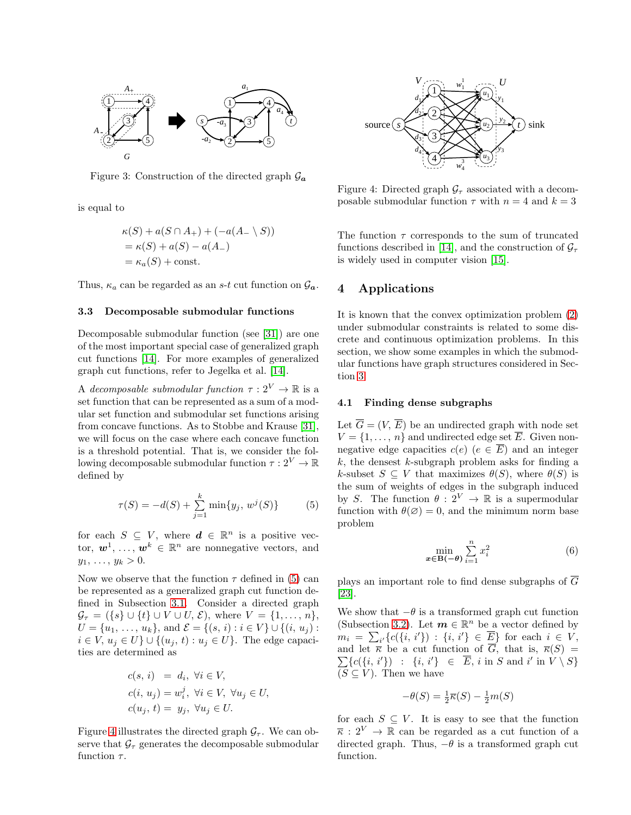

<span id="page-4-1"></span>Figure 3: Construction of the directed graph G*<sup>a</sup>*

is equal to

$$
\kappa(S) + a(S \cap A_+) + (-a(A_- \setminus S))
$$
  
=  $\kappa(S) + a(S) - a(A_-)$   
=  $\kappa_a(S)$  + const.

Thus,  $\kappa_a$  can be regarded as an s-t cut function on  $\mathcal{G}_a$ .

#### **3.3 Decomposable submodular functions**

Decomposable submodular function (see [\[31\]](#page-9-3)) are one of the most important special case of generalized graph cut functions [\[14\]](#page-9-9). For more examples of generalized graph cut functions, refer to Jegelka et al. [\[14\]](#page-9-9).

A *decomposable submodular function*  $\tau : 2^V \to \mathbb{R}$  is a set function that can be represented as a sum of a modular set function and submodular set functions arising from concave functions. As to Stobbe and Krause [\[31\]](#page-9-3), we will focus on the case where each concave function is a threshold potential. That is, we consider the following decomposable submodular function  $\tau : 2^V \to \mathbb{R}$ defined by

$$
\tau(S) = -d(S) + \sum_{j=1}^{k} \min\{y_j, w^j(S)\} \tag{5}
$$

for each  $S \subseteq V$ , where  $d \in \mathbb{R}^n$  is a positive vector,  $\mathbf{w}^1, \ldots, \mathbf{w}^k \in \mathbb{R}^n$  are nonnegative vectors, and  $y_1, \ldots, y_k > 0.$ 

Now we observe that the function  $\tau$  defined in [\(5\)](#page-4-2) can be represented as a generalized graph cut function defined in Subsection [3.1.](#page-2-3) Consider a directed graph  $\mathcal{G}_{\tau} = (\{s\} \cup \{t\} \cup V \cup U, \mathcal{E}), \text{ where } V = \{1, \ldots, n\},\$  $U = \{u_1, \ldots, u_k\}$ , and  $\mathcal{E} = \{(s, i) : i \in V\} \cup \{(i, u_j) :$  $i \in V$ ,  $u_j \in U$ }  $\cup$  { $(u_j, t) : u_j \in U$ }. The edge capacities are determined as

$$
c(s, i) = d_i, \forall i \in V,
$$
  
\n
$$
c(i, u_j) = w_i^j, \forall i \in V, \forall u_j \in U,
$$
  
\n
$$
c(u_j, t) = y_j, \forall u_j \in U.
$$

Figure [4](#page-4-3) illustrates the directed graph  $\mathcal{G}_{\tau}$ . We can observe that  $\mathcal{G}_{\tau}$  generates the decomposable submodular function  $\tau$ .



<span id="page-4-3"></span>Figure 4: Directed graph  $\mathcal{G}_{\tau}$  associated with a decomposable submodular function  $\tau$  with  $n = 4$  and  $k = 3$ 

The function  $\tau$  corresponds to the sum of truncated functions described in [\[14\]](#page-9-9), and the construction of  $\mathcal{G}_{\tau}$ is widely used in computer vision [\[15\]](#page-9-20).

## **4 Applications**

It is known that the convex optimization problem [\(2\)](#page-2-4) under submodular constraints is related to some discrete and continuous optimization problems. In this section, we show some examples in which the submodular functions have graph structures considered in Section [3.](#page-2-5)

### <span id="page-4-0"></span>**4.1 Finding dense subgraphs**

<span id="page-4-2"></span>Let  $\overline{G} = (V, \overline{E})$  be an undirected graph with node set  $V = \{1, \ldots, n\}$  and undirected edge set  $\overline{E}$ . Given nonnegative edge capacities  $c(e)$   $(e \in \overline{E})$  and an integer  $k$ , the densest  $k$ -subgraph problem asks for finding a k-subset  $S \subseteq V$  that maximizes  $\theta(S)$ , where  $\theta(S)$  is the sum of weights of edges in the subgraph induced by S. The function  $\theta : 2^V \to \mathbb{R}$  is a supermodular function with  $\theta(\emptyset) = 0$ , and the minimum norm base problem

$$
\min_{\boldsymbol{x} \in \mathbf{B}(-\boldsymbol{\theta})} \sum_{i=1}^{n} x_i^2 \tag{6}
$$

plays an important role to find dense subgraphs of  $\overline{G}$ [\[23\]](#page-9-10).

We show that  $-\theta$  is a transformed graph cut function (Subsection [3.2\)](#page-3-2). Let  $m \in \mathbb{R}^n$  be a vector defined by  $m_i = \sum_{i'} \{c(\{i, i'\}) : \{i, i'\} \in \overline{E}\}$  for each  $i \in V$ , and let  $\overline{\kappa}$  be a cut function of  $\overline{G}$ , that is,  $\overline{\kappa}(S)$  =  $\sum \{c(\{i, i'\}) \; : \; \{i, i'\} \; \in \; \overline{E}, \, i \text{ in } S \text{ and } i' \text{ in } V \setminus S\}$  $(S \subseteq V)$ . Then we have

$$
-\theta(S) = \frac{1}{2}\overline{\kappa}(S) - \frac{1}{2}m(S)
$$

for each  $S \subseteq V$ . It is easy to see that the function  $\overline{\kappa}: 2^V \to \mathbb{R}$  can be regarded as a cut function of a directed graph. Thus,  $-\theta$  is a transformed graph cut function.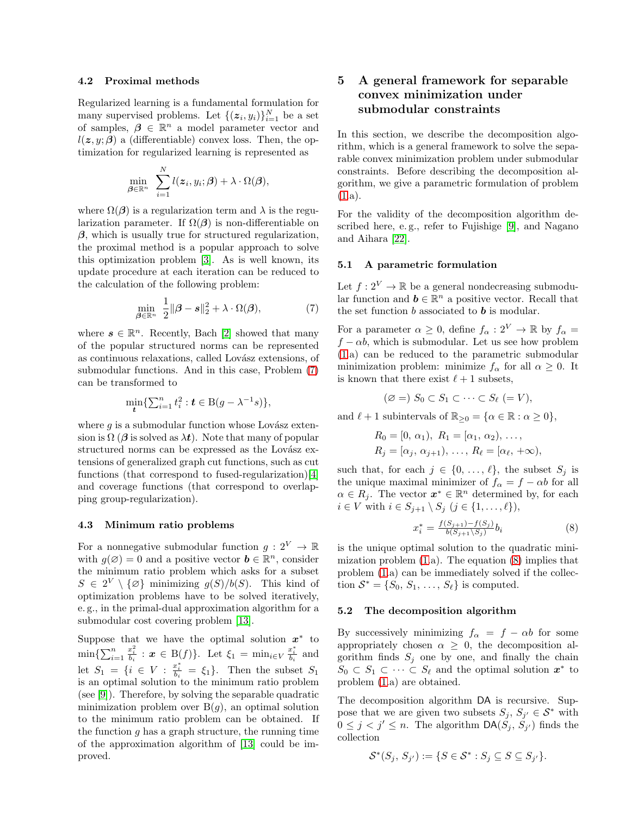#### **4.2 Proximal methods**

Regularized learning is a fundamental formulation for many supervised problems. Let  $\{(z_i, y_i)\}_{i=1}^N$  be a set<br>of samples  $\mathcal{A} \in \mathbb{R}^n$  a model parameter vector and of samples,  $\beta \in \mathbb{R}^n$  a model parameter vector and  $l(z, y; \beta)$  a (differentiable) convex loss. Then, the optimization for regularized learning is represented as

$$
\min_{\boldsymbol{\beta}\in\mathbb{R}^n} \sum_{i=1}^N l(\boldsymbol{z}_i,y_i;\boldsymbol{\beta}) + \lambda \cdot \Omega(\boldsymbol{\beta}),
$$

where  $\Omega(\beta)$  is a regularization term and  $\lambda$  is the regularization parameter. If  $\Omega(\beta)$  is non-differentiable on *β*, which is usually true for structured regularization, the proximal method is a popular approach to solve this optimization problem [\[3\]](#page-8-3). As is well known, its update procedure at each iteration can be reduced to the calculation of the following problem:

$$
\min_{\boldsymbol{\beta} \in \mathbb{R}^n} \frac{1}{2} ||\boldsymbol{\beta} - \boldsymbol{s}||_2^2 + \lambda \cdot \Omega(\boldsymbol{\beta}),\tag{7}
$$

where  $s \in \mathbb{R}^n$ . Recently, Bach [\[2\]](#page-8-0) showed that many of the popular structured norms can be represented as continuous relaxations, called Lovász extensions, of submodular functions. And in this case, Problem [\(7\)](#page-5-1) can be transformed to

$$
\min_{\bm{t}} \{ \sum_{i=1}^n t_i^2 : \bm{t} \in B(g - \lambda^{-1}s) \},\
$$

where  $g$  is a submodular function whose Lovász extension is  $\Omega(\boldsymbol{\beta})$  is solved as  $\lambda t$ . Note that many of popular structured norms can be expressed as the Lovász extensions of generalized graph cut functions, such as cut functions (that correspond to fused-regularization)[\[4\]](#page-8-4) and coverage functions (that correspond to overlapping group-regularization).

### **4.3 Minimum ratio problems**

For a nonnegative submodular function  $g: 2^V \to \mathbb{R}$ with  $q(\emptyset) = 0$  and a positive vector  $\mathbf{b} \in \mathbb{R}^n$ , consider the minimum ratio problem which asks for a subset  $S \in 2^V \setminus {\emptyset}$  minimizing  $g(S)/b(S)$ . This kind of optimization problems have to be solved iteratively, e. g., in the primal-dual approximation algorithm for a submodular cost covering problem [\[13\]](#page-9-11).

Suppose that we have the optimal solution *x*<sup>∗</sup> to  $\min\{\sum_{i=1}^n$  $\frac{x_i^2}{b_i}$  :  $\boldsymbol{x} \in B(f)$ . Let  $\xi_1 = \min_{i \in V} \frac{x_i^*}{b_i}$  and let  $S_1 = \{i \in V : \frac{x_i^*}{b_i} = \xi_1\}$ . Then the subset  $S_1$  is an optimal solution to the minimum ratio problem (see [\[9\]](#page-9-5)). Therefore, by solving the separable quadratic minimization problem over  $B(q)$ , an optimal solution to the minimum ratio problem can be obtained. If the function  $q$  has a graph structure, the running time of the approximation algorithm of [\[13\]](#page-9-11) could be improved.

## <span id="page-5-0"></span>**5 A general framework for separable convex minimization under submodular constraints**

In this section, we describe the decomposition algorithm, which is a general framework to solve the separable convex minimization problem under submodular constraints. Before describing the decomposition algorithm, we give a parametric formulation of problem [\(1.](#page-2-1)a).

For the validity of the decomposition algorithm described here, e. g., refer to Fujishige [\[9\]](#page-9-5), and Nagano and Aihara [\[22\]](#page-9-13).

### **5.1 A parametric formulation**

<span id="page-5-1"></span>Let  $f: 2^V \to \mathbb{R}$  be a general nondecreasing submodular function and  $\mathbf{b} \in \mathbb{R}^n$  a positive vector. Recall that the set function  $b$  associated to  $\boldsymbol{b}$  is modular.

For a parameter  $\alpha \geq 0$ , define  $f_{\alpha}: 2^V \to \mathbb{R}$  by  $f_{\alpha} =$  $f - \alpha b$ , which is submodular. Let us see how problem [\(1.](#page-2-1)a) can be reduced to the parametric submodular minimization problem: minimize  $f_{\alpha}$  for all  $\alpha \geq 0$ . It is known that there exist  $\ell + 1$  subsets,

$$
(\varnothing = S_0 \subset S_1 \subset \cdots \subset S_\ell (= V),
$$

and  $\ell + 1$  subintervals of  $\mathbb{R}_{\geq 0} = \{\alpha \in \mathbb{R} : \alpha \geq 0\},\$ 

$$
R_0 = [0, \alpha_1), R_1 = [\alpha_1, \alpha_2), ...,
$$
  
\n $R_j = [\alpha_j, \alpha_{j+1}), ..., R_\ell = [\alpha_\ell, +\infty),$ 

such that, for each  $j \in \{0, \ldots, \ell\}$ , the subset  $S_j$  is the unique maximal minimizer of  $f_{\alpha} = f - \alpha b$  for all  $\alpha \in R_j$ . The vector  $\boldsymbol{x}^* \in \mathbb{R}^n$  determined by, for each  $i \in V$  with  $i \in S_{j+1} \setminus S_j$   $(j \in \{1, \ldots, \ell\}),$ 

<span id="page-5-2"></span>
$$
x_i^* = \frac{f(S_{j+1}) - f(S_j)}{b(S_{j+1} \backslash S_j)} b_i \tag{8}
$$

is the unique optimal solution to the quadratic minimization problem  $(1.a)$  $(1.a)$ . The equation  $(8)$  implies that problem [\(1.](#page-2-1)a) can be immediately solved if the collection  $S^* = \{S_0, S_1, \ldots, S_\ell\}$  is computed.

#### **5.2 The decomposition algorithm**

By successively minimizing  $f_{\alpha} = f - \alpha b$  for some appropriately chosen  $\alpha \geq 0$ , the decomposition algorithm finds  $S_j$  one by one, and finally the chain  $S_0 \subset S_1 \subset \cdots \subset S_\ell$  and the optimal solution  $x^*$  to problem [\(1.](#page-2-1)a) are obtained.

The decomposition algorithm DA is recursive. Suppose that we are given two subsets  $S_j$ ,  $S_{j'} \in \mathcal{S}^*$  with  $0 \leq j < j' \leq n$ . The algorithm  $\mathsf{DA}(S_j, S_{j'})$  finds the collection

$$
\mathcal{S}^*(S_j, S_{j'}) := \{ S \in \mathcal{S}^* : S_j \subseteq S \subseteq S_{j'} \}.
$$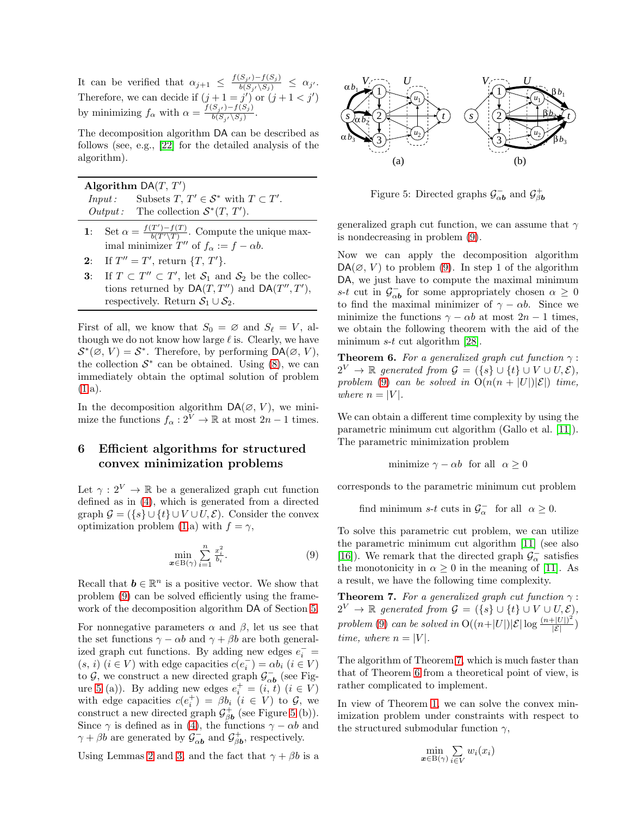It can be verified that  $\alpha_{j+1} \leq \frac{f(S_{j'})-f(S_j)}{b(S_{j'} \setminus S_j)} \leq \alpha_{j'}.$ Therefore, we can decide if  $(j+1=j')$  or  $(j+1 < j')$ <br>Therefore, we can decide if  $(j+1=j')$  or  $(j+1 < j')$ by minimizing  $f_{\alpha}$  with  $\alpha = \frac{f(S_{j'}) - f(S_j)}{b(S_{j'} \setminus S_j)}$  $\frac{\sum_j y_j - f(S_j)}{b(S_{j'}\backslash S_j)}$ .

The decomposition algorithm DA can be described as follows (see, e.g., [\[22\]](#page-9-13) for the detailed analysis of the algorithm).

**Algorithm** DA(T, T ) *Input:* Subsets  $T, T' \in S^*$  with  $T \subset T'$ . *Output* : The collection  $S^*(T, T')$ .

- **1**: Set  $\alpha = \frac{f(T') f(T)}{h(T') \cdot T}$  $\frac{I_{-} - I_{-} (I_{-})}{b(T' \setminus T)}$ . Compute the unique maximal minimizer  $T''$  of  $f_{\alpha} := f - \alpha b$ .
- **2**: If  $T'' = T'$ , return  $\{T, T'\}$ .
- **3**: If  $T \subset T'' \subset T'$ , let  $S_1$  and  $S_2$  be the collections returned by  $\mathsf{DA}(T,T'')$  and  $\mathsf{DA}(T'',T'),$ respectively. Return  $S_1 \cup S_2$ .

First of all, we know that  $S_0 = \emptyset$  and  $S_\ell = V$ , although we do not know how large  $\ell$  is. Clearly, we have  $\mathcal{S}^*(\varnothing, V) = \mathcal{S}^*$ . Therefore, by performing  $\mathsf{DA}(\varnothing, V)$ , the collection  $S^*$  can be obtained. Using [\(8\)](#page-5-2), we can immediately obtain the optimal solution of problem [\(1.](#page-2-1)a).

In the decomposition algorithm  $\mathsf{DA}(\varnothing, V)$ , we minimize the functions  $f_{\alpha}: 2^{\tilde{V}} \to \mathbb{R}$  at most  $2n - 1$  times.

## <span id="page-6-4"></span>**6 Efficient algorithms for structured convex minimization problems**

Let  $\gamma : 2^V \to \mathbb{R}$  be a generalized graph cut function defined as in [\(4\)](#page-3-1), which is generated from a directed graph  $\mathcal{G} = (\{s\} \cup \{t\} \cup V \cup U, \mathcal{E})$ . Consider the convex optimization problem [\(1.](#page-2-1)a) with  $f = \gamma$ ,

$$
\min_{\boldsymbol{x} \in B(\gamma)} \sum_{i=1}^{n} \frac{x_i^2}{b_i}.
$$
\n(9)

Recall that  $\mathbf{b} \in \mathbb{R}^n$  is a positive vector. We show that problem [\(9\)](#page-6-0) can be solved efficiently using the framework of the decomposition algorithm DA of Section [5.](#page-5-0)

For nonnegative parameters  $\alpha$  and  $\beta$ , let us see that the set functions  $\gamma - \alpha b$  and  $\gamma + \beta b$  are both generalized graph cut functions. By adding new edges  $e_i^- = (e, i)$   $(i \in V)$  with edge cancrities  $e(e^-) = \alpha h \cdot (i \in V)$  $(s, i)$   $(i \in V)$  with edge capacities  $c(e_i^-) = \alpha b_i$   $(i \in V)$ <br>to  $G$  we construct a new directed graph  $G^-$  (see Fig. to G, we construct a new directed graph  $G_{\alpha b}$  (see Fig-<br>ure 5.(a)). By adding new edges  $e^+ = (i, t), (i \in V)$ ure [5](#page-6-1) (a)). By adding new edges  $e_t^+ = (i, t)$   $(i \in V)$ <br>with odge connection  $e(e^+) = \beta b$ ,  $(i \in V)$  to  $G$  we with edge capacities  $c(e_i^+) = \beta b_i$   $(i \in V)$  to  $\mathcal{G}$ , we<br>construct a now directed graph  $G^+$  (see Figure 5 (b)) construct a new directed graph  $G_{\beta b}^{+}$  (see Figure [5](#page-6-1) (b)).<br>Since  $\alpha$  is defined as in (4) the functions  $\alpha - \alpha b$  and Since  $\gamma$  is defined as in [\(4\)](#page-3-1), the functions  $\gamma - \alpha b$  and  $\gamma + \beta b$  are generated by  $\mathcal{G}_{\alpha b}^-$  and  $\mathcal{G}_{\beta b}^+$ , respectively.

Using Lemmas [2](#page-2-6) and [3,](#page-2-7) and the fact that  $\gamma + \beta b$  is a



<span id="page-6-1"></span>Figure 5: Directed graphs  $\mathcal{G}_{\alpha b}^-$  and  $\mathcal{G}_{\beta b}^+$ 

generalized graph cut function, we can assume that  $\gamma$ is nondecreasing in problem [\(9\)](#page-6-0).

Now we can apply the decomposition algorithm  $DA(\emptyset, V)$  to problem [\(9\)](#page-6-0). In step 1 of the algorithm DA, we just have to compute the maximal minimum s-t cut in  $\mathcal{G}_{\alpha b}^{-}$  for some appropriately chosen  $\alpha \geq 0$ <br>to find the maximal minimizer of  $\alpha - \alpha b$ . Since we to find the maximal minimizer of  $\gamma - \alpha b$ . Since we minimize the functions  $\gamma - \alpha b$  at most  $2n - 1$  times, we obtain the following theorem with the aid of the minimum s-t cut algorithm  $[28]$ .

<span id="page-6-3"></span>**Theorem 6.** For a generalized graph cut function  $\gamma$ :  $2^V \rightarrow \mathbb{R}$  generated from  $\mathcal{G} = (\{s\} \cup \{t\} \cup V \cup U, \mathcal{E}),$ *problem* [\(9\)](#page-6-0) *can be solved in*  $O(n(n + |U|)|\mathcal{E}|)$  *time, where*  $n = |V|$ *.* 

We can obtain a different time complexity by using the parametric minimum cut algorithm (Gallo et al. [\[11\]](#page-9-14)). The parametric minimization problem

minimize 
$$
\gamma - \alpha b
$$
 for all  $\alpha \ge 0$ 

corresponds to the parametric minimum cut problem

find minimum s-t cuts in  $\mathcal{G}_{\alpha}^-$  for all  $\alpha \geq 0$ .

<span id="page-6-0"></span>To solve this parametric cut problem, we can utilize the parametric minimum cut algorithm [\[11\]](#page-9-14) (see also [\[16\]](#page-9-21)). We remark that the directed graph  $\mathcal{G}_{\alpha}^-$  satisfies<br>the monotonicity in  $\alpha > 0$  in the moning of [11]. As the monotonicity in  $\alpha \geq 0$  in the meaning of [\[11\]](#page-9-14). As a result, we have the following time complexity.

<span id="page-6-2"></span>**Theorem 7.** *For a generalized graph cut function*  $\gamma$ :  $2^V \rightarrow \mathbb{R}$  generated from  $\mathcal{G} = (\{s\} \cup \{t\} \cup V \cup U, \mathcal{E}),$ *problem* [\(9\)](#page-6-0) *can be solved in*  $O((n+|U|)|\mathcal{E}| \log \frac{(n+|U|)^2}{|\mathcal{E}|})$ *time, where*  $n = |V|$ *.* 

The algorithm of Theorem [7,](#page-6-2) which is much faster than that of Theorem [6](#page-6-3) from a theoretical point of view, is rather complicated to implement.

In view of Theorem [1,](#page-2-1) we can solve the convex minimization problem under constraints with respect to the structured submodular function  $\gamma$ ,

$$
\min_{\bm{x}\in B(\gamma)}\sum_{i\in V}w_i(x_i)
$$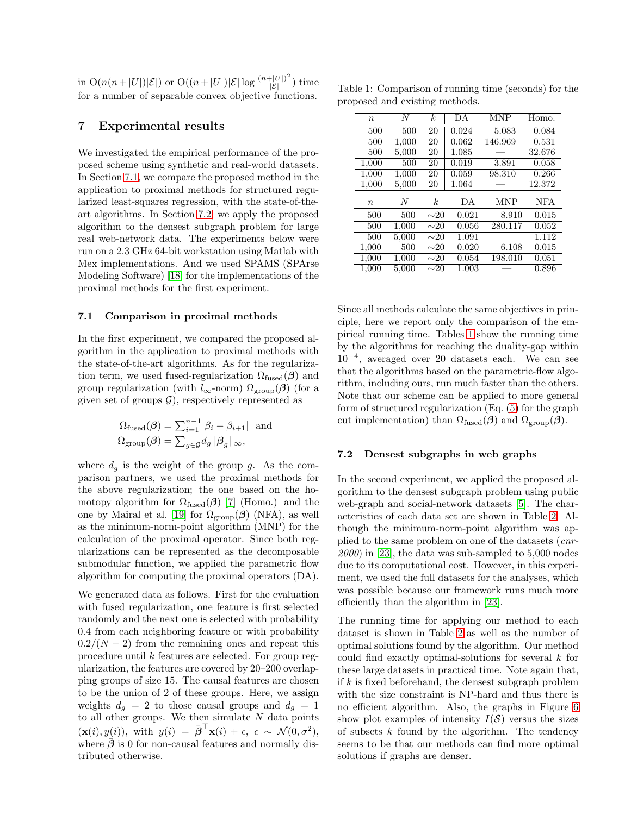in  $O(n(n+|U|)|\mathcal{E}|)$  or  $O((n+|U|)|\mathcal{E}| \log \frac{(n+|U|)^2}{|\mathcal{E}|})$  time for a number of separable convex objective functions.

## **7 Experimental results**

We investigated the empirical performance of the proposed scheme using synthetic and real-world datasets. In Section [7.1,](#page-7-0) we compare the proposed method in the application to proximal methods for structured regularized least-squares regression, with the state-of-theart algorithms. In Section [7.2,](#page-7-1) we apply the proposed algorithm to the densest subgraph problem for large real web-network data. The experiments below were run on a 2.3 GHz 64-bit workstation using Matlab with Mex implementations. And we used SPAMS (SPArse Modeling Software) [\[18\]](#page-9-22) for the implementations of the proximal methods for the first experiment.

#### <span id="page-7-0"></span>**7.1 Comparison in proximal methods**

In the first experiment, we compared the proposed algorithm in the application to proximal methods with the state-of-the-art algorithms. As for the regularization term, we used fused-regularization  $\Omega_{\text{fused}}(\beta)$  and group regularization (with  $l_{\infty}$ -norm)  $\Omega_{\text{group}}(\beta)$  (for a given set of groups  $\mathcal{G}$ ), respectively represented as

$$
\Omega_{\text{fused}}(\boldsymbol{\beta}) = \sum_{i=1}^{n-1} |\beta_i - \beta_{i+1}| \text{ and}
$$

$$
\Omega_{\text{group}}(\boldsymbol{\beta}) = \sum_{g \in \mathcal{G}} d_g ||\boldsymbol{\beta}_g||_{\infty},
$$

where  $d_q$  is the weight of the group g. As the comparison partners, we used the proximal methods for the above regularization; the one based on the homotopy algorithm for  $\Omega_{\text{fused}}(\beta)$  [\[7\]](#page-9-23) (Homo.) and the one by Mairal et al. [\[19\]](#page-9-24) for  $\Omega_{\text{group}}(\beta)$  (NFA), as well as the minimum-norm-point algorithm (MNP) for the calculation of the proximal operator. Since both regularizations can be represented as the decomposable submodular function, we applied the parametric flow algorithm for computing the proximal operators (DA).

We generated data as follows. First for the evaluation with fused regularization, one feature is first selected randomly and the next one is selected with probability 0.4 from each neighboring feature or with probability  $0.2/(N-2)$  from the remaining ones and repeat this procedure until  $k$  features are selected. For group regularization, the features are covered by 20–200 overlapping groups of size 15. The causal features are chosen to be the union of 2 of these groups. Here, we assign weights  $d_q = 2$  to those causal groups and  $d_q = 1$ to all other groups. We then simulate  $N$  data points  $(\mathbf{x}(i), y(i))$ , with  $y(i) = \bar{\boldsymbol{\beta}}^{\top} \mathbf{x}(i) + \epsilon$ ,  $\epsilon \sim \mathcal{N}(0, \sigma^2)$ , where  $\bar{\beta}$  is 0 for non-causal features and normally distributed otherwise.

Table 1: Comparison of running time (seconds) for the proposed and existing methods.

<span id="page-7-2"></span>

| $\boldsymbol{n}$ | N     | k.             | DА    | <b>MNP</b> | Homo.      |
|------------------|-------|----------------|-------|------------|------------|
| 500              | 500   | 20             | 0.024 | 5.083      | 0.084      |
| 500              | 1,000 | 20             | 0.062 | 146.969    | 0.531      |
| 500              | 5,000 | 20             | 1.085 |            | 32.676     |
| 1,000            | 500   | 20             | 0.019 | 3.891      | 0.058      |
| 1,000            | 1,000 | 20             | 0.059 | 98.310     | 0.266      |
| 1,000            | 5,000 | 20             | 1.064 |            | 12.372     |
|                  |       |                |       |            |            |
| $\boldsymbol{n}$ | N     | k <sub>i</sub> | DА    | <b>MNP</b> | <b>NFA</b> |
| 500              | 500   | $\sim 20$      | 0.021 | 8.910      | 0.015      |
| 500              | 1,000 | $\sim 20$      | 0.056 | 280.117    | 0.052      |
| 500              | 5,000 | $\sim 20$      | 1.091 |            | 1.112      |
| 1,000            | 500   | $\sim$ 20      | 0.020 | 6.108      | 0.015      |
| 1,000            | 1,000 | $\sim$ 20      | 0.054 | 198.010    | 0.051      |
| 1,000            | 5,000 | $\sim$ 20      | 1.003 |            | 0.896      |
|                  |       |                |       |            |            |

Since all methods calculate the same objectives in principle, here we report only the comparison of the empirical running time. Tables [1](#page-7-2) show the running time by the algorithms for reaching the duality-gap within  $10^{-4}$ , averaged over 20 datasets each. We can see that the algorithms based on the parametric-flow algorithm, including ours, run much faster than the others. Note that our scheme can be applied to more general form of structured regularization (Eq. [\(5\)](#page-4-2) for the graph cut implementation) than  $\Omega_{\text{fused}}(\beta)$  and  $\Omega_{\text{group}}(\beta)$ .

#### <span id="page-7-1"></span>**7.2 Densest subgraphs in web graphs**

In the second experiment, we applied the proposed algorithm to the densest subgraph problem using public web-graph and social-network datasets [\[5\]](#page-8-5). The characteristics of each data set are shown in Table [2.](#page-8-6) Although the minimum-norm-point algorithm was applied to the same problem on one of the datasets (*cnr-2000*) in [\[23\]](#page-9-10), the data was sub-sampled to 5,000 nodes due to its computational cost. However, in this experiment, we used the full datasets for the analyses, which was possible because our framework runs much more efficiently than the algorithm in [\[23\]](#page-9-10).

The running time for applying our method to each dataset is shown in Table [2](#page-8-6) as well as the number of optimal solutions found by the algorithm. Our method could find exactly optimal-solutions for several k for these large datasets in practical time. Note again that, if  $k$  is fixed beforehand, the densest subgraph problem with the size constraint is NP-hard and thus there is no efficient algorithm. Also, the graphs in Figure [6](#page-8-7) show plot examples of intensity  $I(\mathcal{S})$  versus the sizes of subsets  $k$  found by the algorithm. The tendency seems to be that our methods can find more optimal solutions if graphs are denser.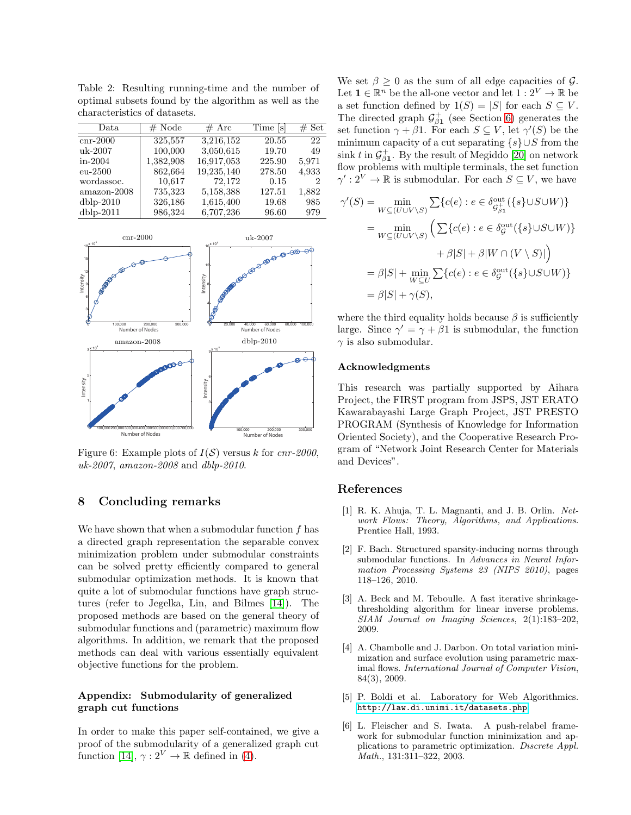<span id="page-8-6"></span>Table 2: Resulting running-time and the number of optimal subsets found by the algorithm as well as the characteristics of datasets.

| Data        | $#$ Node  | # Arc      | Time s | $#$ Set         |
|-------------|-----------|------------|--------|-----------------|
| $cnr-2000$  | 325,557   | 3,216,152  | 20.55  | $\overline{22}$ |
| uk-2007     | 100,000   | 3,050,615  | 19.70  | 49              |
| $in-2004$   | 1,382,908 | 16,917,053 | 225.90 | 5,971           |
| $eu-2500$   | 862,664   | 19,235,140 | 278.50 | 4,933           |
| wordassoc.  | 10.617    | 72,172     | 0.15   | 2               |
| amazon-2008 | 735,323   | 5,158,388  | 127.51 | 1,882           |
| $dblp-2010$ | 326,186   | 1,615,400  | 19.68  | 985             |
| $dblp-2011$ | 986,324   | 6,707,236  | 96.60  | 979             |



<span id="page-8-7"></span>Figure 6: Example plots of  $I(S)$  versus k for *cnr-2000*, *uk-2007*, *amazon-2008* and *dblp-2010*.

## **8 Concluding remarks**

We have shown that when a submodular function  $f$  has a directed graph representation the separable convex minimization problem under submodular constraints can be solved pretty efficiently compared to general submodular optimization methods. It is known that quite a lot of submodular functions have graph structures (refer to Jegelka, Lin, and Bilmes [\[14\]](#page-9-9)). The proposed methods are based on the general theory of submodular functions and (parametric) maximum flow algorithms. In addition, we remark that the proposed methods can deal with various essentially equivalent objective functions for the problem.

## **Appendix: Submodularity of generalized graph cut functions**

In order to make this paper self-contained, we give a proof of the submodularity of a generalized graph cut function [\[14\]](#page-9-9),  $\gamma: 2^V \to \mathbb{R}$  defined in [\(4\)](#page-3-1).

We set  $\beta > 0$  as the sum of all edge capacities of G. Let  $1 \in \mathbb{R}^n$  be the all-one vector and let  $1: 2^V \to \mathbb{R}$  be a set function defined by  $1(S) = |S|$  for each  $S \subseteq V$ . The directed graph  $\mathcal{G}_{\beta_1}^+$  (see Section [6\)](#page-6-4) generates the set function  $\gamma + \beta_1$  for each  $S \subset V$  let  $\gamma'(S)$  be the set function  $\gamma + \beta 1$ . For each  $S \subseteq V$ , let  $\gamma'(S)$  be the minimum capacity of a cut separating  $\{s\} \cup S$  from the  $\sin k t$  in  $\mathcal{G}_{\beta_1}^+$ . By the result of Megiddo [\[20\]](#page-9-19) on network flow problems with multiple terminals, the set function  $\gamma': 2^V \to \mathbb{R}$  is submodular. For each  $S \subseteq V$ , we have

$$
\gamma'(S) = \min_{W \subseteq (U \cup V \setminus S)} \sum \{c(e) : e \in \delta_{\mathcal{G}_j^{\text{out}}}^{\text{out}}(\{s\} \cup S \cup W)\}
$$
  
\n
$$
= \min_{W \subseteq (U \cup V \setminus S)} \left( \sum \{c(e) : e \in \delta_{\mathcal{G}}^{\text{out}}(\{s\} \cup S \cup W)\} + \beta |S| + \beta |W \cap (V \setminus S)| \right)
$$
  
\n
$$
= \beta |S| + \min_{W \subseteq U} \sum \{c(e) : e \in \delta_{\mathcal{G}}^{\text{out}}(\{s\} \cup S \cup W)\}
$$
  
\n
$$
= \beta |S| + \gamma(S),
$$

where the third equality holds because  $\beta$  is sufficiently large. Since  $\gamma' = \gamma + \beta 1$  is submodular, the function  $\gamma$  is also submodular.

### **Acknowledgments**

This research was partially supported by Aihara Project, the FIRST program from JSPS, JST ERATO Kawarabayashi Large Graph Project, JST PRESTO PROGRAM (Synthesis of Knowledge for Information Oriented Society), and the Cooperative Research Program of "Network Joint Research Center for Materials and Devices".

## <span id="page-8-2"></span>**References**

- [1] R. K. Ahuja, T. L. Magnanti, and J. B. Orlin. Network Flows: Theory, Algorithms, and Applications. Prentice Hall, 1993.
- <span id="page-8-0"></span>[2] F. Bach. Structured sparsity-inducing norms through submodular functions. In Advances in Neural Information Processing Systems 23 (NIPS 2010), pages 118–126, 2010.
- <span id="page-8-3"></span>[3] A. Beck and M. Teboulle. A fast iterative shrinkagethresholding algorithm for linear inverse problems. SIAM Journal on Imaging Sciences, 2(1):183–202, 2009.
- <span id="page-8-4"></span>[4] A. Chambolle and J. Darbon. On total variation minimization and surface evolution using parametric maximal flows. International Journal of Computer Vision, 84(3), 2009.
- <span id="page-8-5"></span>[5] P. Boldi et al. Laboratory for Web Algorithmics. <http://law.di.unimi.it/datasets.php>.
- <span id="page-8-1"></span>[6] L. Fleischer and S. Iwata. A push-relabel framework for submodular function minimization and applications to parametric optimization. Discrete Appl. Math., 131:311–322, 2003.